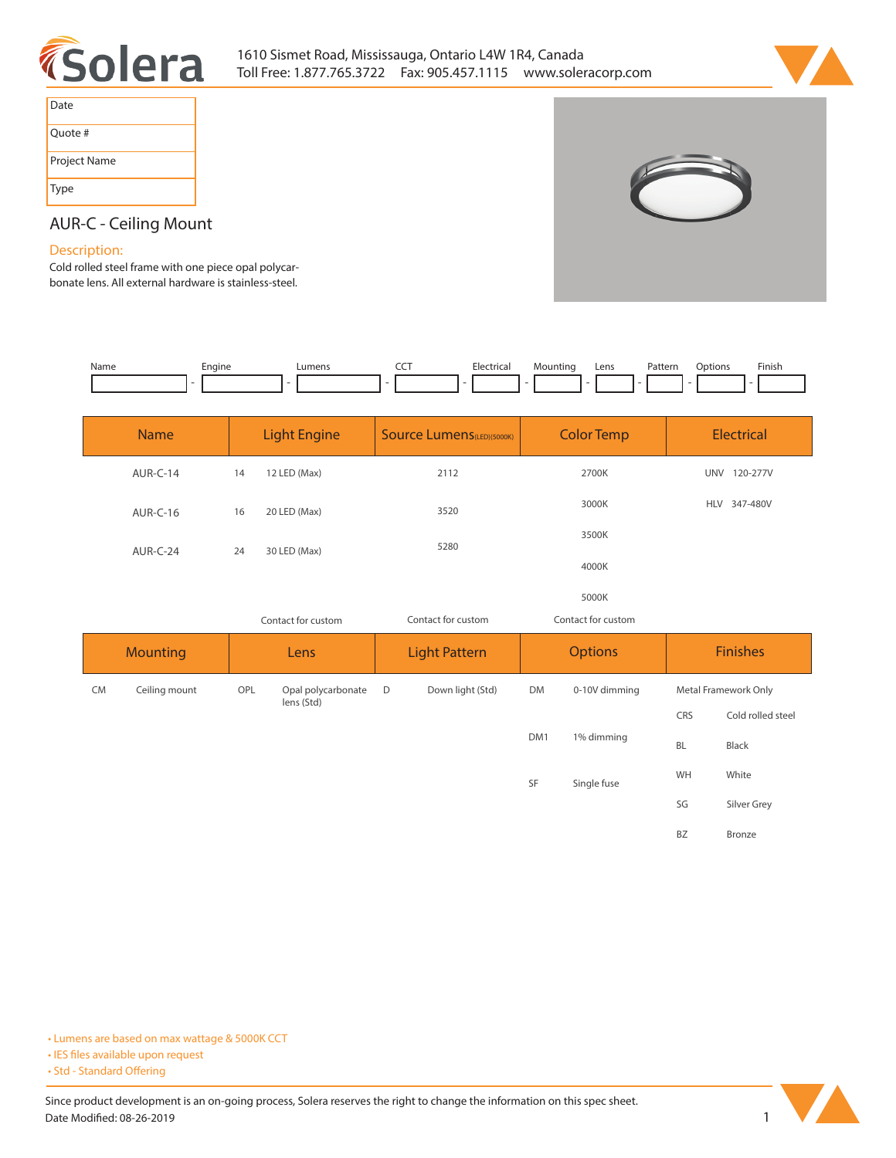



| Date         |
|--------------|
| Quote #      |
| Project Name |
| Type         |



## **AUR-C - Ceiling Mount**

## **Description:**

**Cold rolled steel frame with one piece opal polycarbonate lens. All external hardware is stainless-steel.** 

| Name | Engine | Lumens | $\sim$ $\sim$ $\sim$<br>$\sim$ | Electrical | Mounting                 | Lens | Pattern | Options | Finish                   |
|------|--------|--------|--------------------------------|------------|--------------------------|------|---------|---------|--------------------------|
|      |        |        | . .                            | $\sim$     | $\overline{\phantom{0}}$ |      | $\sim$  |         | $\overline{\phantom{0}}$ |
|      |        |        |                                |            |                          |      |         |         |                          |
|      |        |        |                                |            |                          |      |         |         |                          |

|    | <b>Name</b>     | <b>Light Engine</b> |                    | <b>Source Lumens</b> (LED)(5000K) | <b>Color Temp</b>  |               | <b>Electrical</b> |                        |
|----|-----------------|---------------------|--------------------|-----------------------------------|--------------------|---------------|-------------------|------------------------|
|    | AUR-C-14        | 14                  | 12 LED (Max)       | 2112                              | 2700K              |               |                   | UNV 120-277V           |
|    | <b>AUR-C-16</b> | 16                  | 20 LED (Max)       | 3520                              | 3000K              |               |                   | 347-480V<br><b>HLV</b> |
|    | AUR-C-24        | 24                  | 30 LED (Max)       | 5280                              | 3500K<br>4000K     |               |                   |                        |
|    |                 |                     |                    |                                   |                    |               |                   |                        |
|    |                 |                     |                    |                                   | 5000K              |               |                   |                        |
|    |                 | Contact for custom  |                    | Contact for custom                | Contact for custom |               |                   |                        |
|    |                 |                     |                    |                                   | <b>Options</b>     |               |                   |                        |
|    | <b>Mounting</b> |                     | Lens               | <b>Light Pattern</b>              |                    |               |                   | <b>Finishes</b>        |
| CM | Ceiling mount   | OPL                 | Opal polycarbonate | $\mathsf D$<br>Down light (Std)   | <b>DM</b>          | 0-10V dimming |                   | Metal Framework Only   |
|    |                 |                     | lens (Std)         |                                   |                    |               | CRS               | Cold rolled steel      |
|    |                 |                     |                    |                                   | DM1                | 1% dimming    | BL                | Black                  |
|    |                 |                     |                    |                                   | SF                 | Single fuse   | WH                | White                  |
|    |                 |                     |                    |                                   |                    |               | SG                | Silver Grey            |



**<sup>•</sup> IES files available upon request** 

<sup>•</sup> Std - Standard Offering